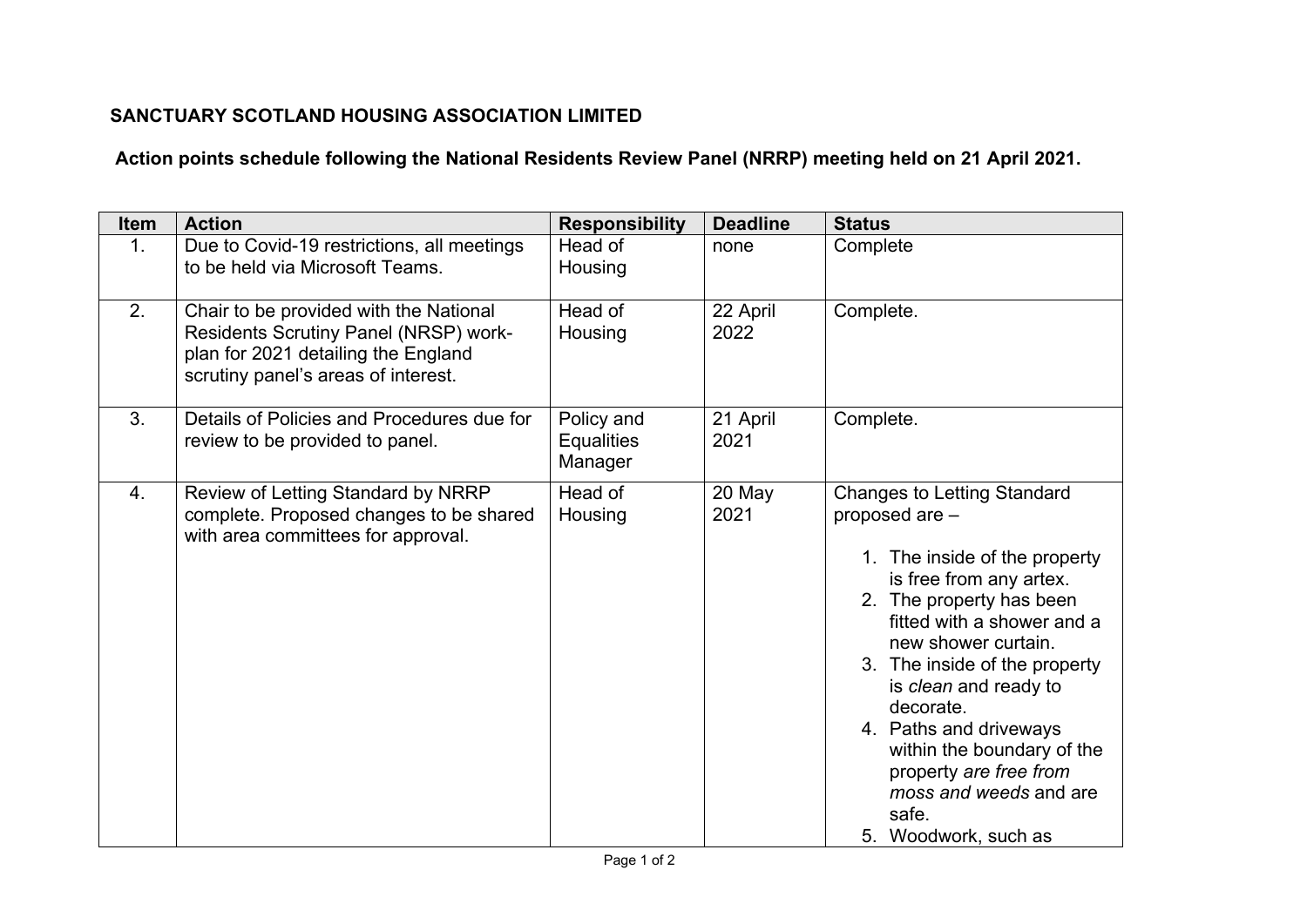## **SANCTUARY SCOTLAND HOUSING ASSOCIATION LIMITED**

## **Action points schedule following the National Residents Review Panel (NRRP) meeting held on 21 April 2021.**

| <b>Item</b>      | <b>Action</b>                                                                                                                                                        | <b>Responsibility</b>                      | <b>Deadline</b>  | <b>Status</b>                                                                                                                                                                                                                                                                                                                                                                                                                |
|------------------|----------------------------------------------------------------------------------------------------------------------------------------------------------------------|--------------------------------------------|------------------|------------------------------------------------------------------------------------------------------------------------------------------------------------------------------------------------------------------------------------------------------------------------------------------------------------------------------------------------------------------------------------------------------------------------------|
| $\mathbf{1}$ .   | Due to Covid-19 restrictions, all meetings<br>to be held via Microsoft Teams.                                                                                        | Head of<br>Housing                         | none             | Complete                                                                                                                                                                                                                                                                                                                                                                                                                     |
| 2.               | Chair to be provided with the National<br><b>Residents Scrutiny Panel (NRSP) work-</b><br>plan for 2021 detailing the England<br>scrutiny panel's areas of interest. | Head of<br>Housing                         | 22 April<br>2022 | Complete.                                                                                                                                                                                                                                                                                                                                                                                                                    |
| 3.               | Details of Policies and Procedures due for<br>review to be provided to panel.                                                                                        | Policy and<br><b>Equalities</b><br>Manager | 21 April<br>2021 | Complete.                                                                                                                                                                                                                                                                                                                                                                                                                    |
| $\overline{4}$ . | Review of Letting Standard by NRRP<br>complete. Proposed changes to be shared<br>with area committees for approval.                                                  | Head of<br>Housing                         | 20 May<br>2021   | <b>Changes to Letting Standard</b><br>proposed are -<br>1. The inside of the property<br>is free from any artex.<br>2. The property has been<br>fitted with a shower and a<br>new shower curtain.<br>3. The inside of the property<br>is <i>clean</i> and ready to<br>decorate.<br>4. Paths and driveways<br>within the boundary of the<br>property are free from<br>moss and weeds and are<br>safe.<br>5. Woodwork, such as |